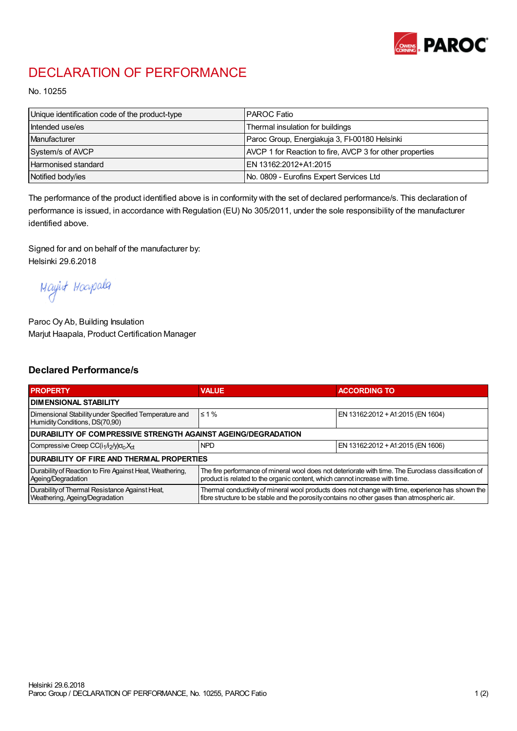

## DECLARATION OF PERFORMANCE

No. 10255

| Unique identification code of the product-type | IPAROC Fatio                                             |
|------------------------------------------------|----------------------------------------------------------|
| Intended use/es                                | Thermal insulation for buildings                         |
| Manufacturer                                   | Paroc Group, Energiakuja 3, FI-00180 Helsinki            |
| System/s of AVCP                               | AVCP 1 for Reaction to fire, AVCP 3 for other properties |
| Harmonised standard                            | IEN 13162:2012+A1:2015                                   |
| Notified body/ies                              | No. 0809 - Eurofins Expert Services Ltd                  |

The performance of the product identified above is in conformity with the set of declared performance/s. This declaration of performance is issued, in accordance with Regulation (EU) No 305/2011, under the sole responsibility of the manufacturer identified above.

Signed for and on behalf of the manufacturer by: Helsinki 29.6.2018

Mayint Hoapala

Paroc Oy Ab, Building Insulation Marjut Haapala, Product Certification Manager

## Declared Performance/s

| <b>PROPERTY</b>                                                                         | <b>VALUE</b>                                                                                                                                                                                     | <b>ACCORDING TO</b>               |  |  |
|-----------------------------------------------------------------------------------------|--------------------------------------------------------------------------------------------------------------------------------------------------------------------------------------------------|-----------------------------------|--|--|
| <b>I DIMENSIONAL STABILITY</b>                                                          |                                                                                                                                                                                                  |                                   |  |  |
| Dimensional Stability under Specified Temperature and<br>Humidity Conditions, DS(70,90) | $\leq 1\%$                                                                                                                                                                                       | EN 13162:2012 + A1:2015 (EN 1604) |  |  |
| <b>DURABILITY OF COMPRESSIVE STRENGTH AGAINST AGEING/DEGRADATION</b>                    |                                                                                                                                                                                                  |                                   |  |  |
| Compressive Creep CC(i <sub>1</sub> /i <sub>2</sub> /y) $\sigma_c X_{ct}$               | <b>NPD</b>                                                                                                                                                                                       | EN 13162:2012 + A1:2015 (EN 1606) |  |  |
| IDURABILITY OF FIRE AND THERMAL PROPERTIES                                              |                                                                                                                                                                                                  |                                   |  |  |
| Durability of Reaction to Fire Against Heat, Weathering,<br>Ageing/Degradation          | The fire performance of mineral wool does not deteriorate with time. The Euroclass classification of<br>product is related to the organic content, which cannot increase with time.              |                                   |  |  |
| Durability of Thermal Resistance Against Heat,<br>Weathering, Ageing/Degradation        | Thermal conductivity of mineral wool products does not change with time, experience has shown the<br>fibre structure to be stable and the porosity contains no other gases than atmospheric air. |                                   |  |  |